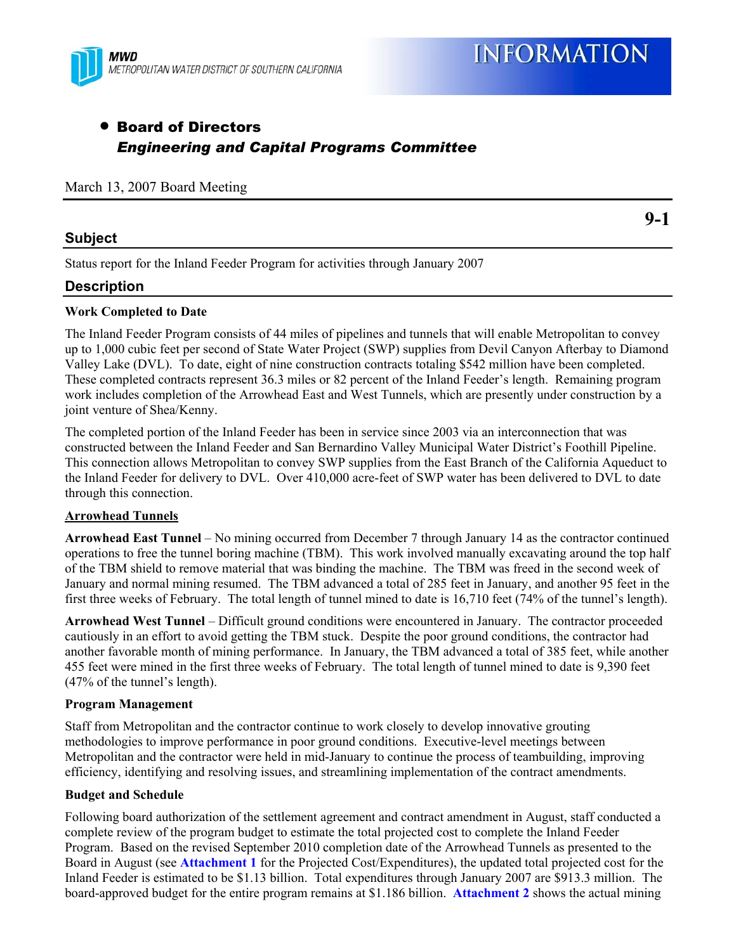

# • Board of Directors *Engineering and Capital Programs Committee*

#### March 13, 2007 Board Meeting

## **Subject**

**9-1** 

Status report for the Inland Feeder Program for activities through January 2007

## **Description**

## **Work Completed to Date**

The Inland Feeder Program consists of 44 miles of pipelines and tunnels that will enable Metropolitan to convey up to 1,000 cubic feet per second of State Water Project (SWP) supplies from Devil Canyon Afterbay to Diamond Valley Lake (DVL). To date, eight of nine construction contracts totaling \$542 million have been completed. These completed contracts represent 36.3 miles or 82 percent of the Inland Feeder's length. Remaining program work includes completion of the Arrowhead East and West Tunnels, which are presently under construction by a joint venture of Shea/Kenny.

The completed portion of the Inland Feeder has been in service since 2003 via an interconnection that was constructed between the Inland Feeder and San Bernardino Valley Municipal Water District's Foothill Pipeline. This connection allows Metropolitan to convey SWP supplies from the East Branch of the California Aqueduct to the Inland Feeder for delivery to DVL. Over 410,000 acre-feet of SWP water has been delivered to DVL to date through this connection.

#### **Arrowhead Tunnels**

**Arrowhead East Tunnel** – No mining occurred from December 7 through January 14 as the contractor continued operations to free the tunnel boring machine (TBM). This work involved manually excavating around the top half of the TBM shield to remove material that was binding the machine. The TBM was freed in the second week of January and normal mining resumed. The TBM advanced a total of 285 feet in January, and another 95 feet in the first three weeks of February. The total length of tunnel mined to date is 16,710 feet (74% of the tunnel's length).

**Arrowhead West Tunnel** – Difficult ground conditions were encountered in January. The contractor proceeded cautiously in an effort to avoid getting the TBM stuck. Despite the poor ground conditions, the contractor had another favorable month of mining performance. In January, the TBM advanced a total of 385 feet, while another 455 feet were mined in the first three weeks of February. The total length of tunnel mined to date is 9,390 feet (47% of the tunnel's length).

#### **Program Management**

Staff from Metropolitan and the contractor continue to work closely to develop innovative grouting methodologies to improve performance in poor ground conditions. Executive-level meetings between Metropolitan and the contractor were held in mid-January to continue the process of teambuilding, improving efficiency, identifying and resolving issues, and streamlining implementation of the contract amendments.

#### **Budget and Schedule**

Following board authorization of the settlement agreement and contract amendment in August, staff conducted a complete review of the program budget to estimate the total projected cost to complete the Inland Feeder Program. Based on the revised September 2010 completion date of the Arrowhead Tunnels as presented to the Board in August (see **Attachment 1** for the Projected Cost/Expenditures), the updated total projected cost for the Inland Feeder is estimated to be \$1.13 billion. Total expenditures through January 2007 are \$913.3 million. The board-approved budget for the entire program remains at \$1.186 billion. **Attachment 2** shows the actual mining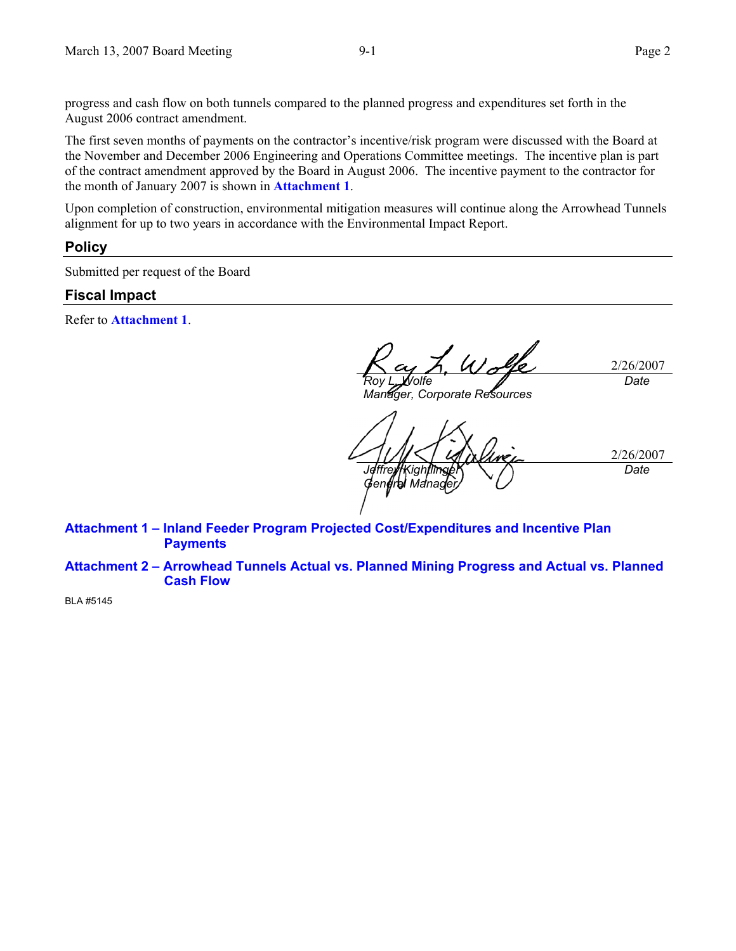progress and cash flow on both tunnels compared to the planned progress and expenditures set forth in the August 2006 contract amendment.

The first seven months of payments on the contractor's incentive/risk program were discussed with the Board at the November and December 2006 Engineering and Operations Committee meetings. The incentive plan is part of the contract amendment approved by the Board in August 2006. The incentive payment to the contractor for the month of January 2007 is shown in **Attachment 1**.

Upon completion of construction, environmental mitigation measures will continue along the Arrowhead Tunnels alignment for up to two years in accordance with the Environmental Impact Report.

#### **Policy**

Submitted per request of the Board

### **Fiscal Impact**

Refer to **Attachment 1**.

2/26/2007 *Roy L. Wolfe Date* 

*Manager, Corporate Resources* 

2/26/2007 *Jeffrey Kightlinger General Manager Date* 

**Attachment 1 – Inland Feeder Program Projected Cost/Expenditures and Incentive Plan Payments** 

**Attachment 2 – Arrowhead Tunnels Actual vs. Planned Mining Progress and Actual vs. Planned Cash Flow** 

BLA #5145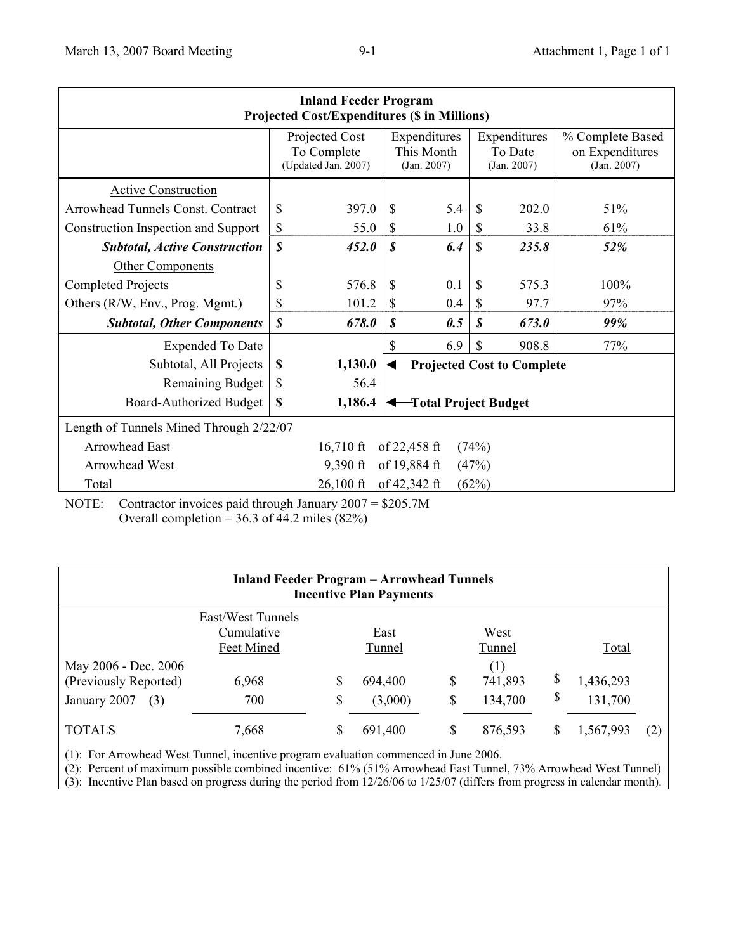| <b>Inland Feeder Program</b><br><b>Projected Cost/Expenditures (\$ in Millions)</b> |                                                      |         |                                           |     |                                        |                                   |                                                    |  |  |  |  |  |
|-------------------------------------------------------------------------------------|------------------------------------------------------|---------|-------------------------------------------|-----|----------------------------------------|-----------------------------------|----------------------------------------------------|--|--|--|--|--|
|                                                                                     | Projected Cost<br>To Complete<br>(Updated Jan. 2007) |         | Expenditures<br>This Month<br>(Jan. 2007) |     | Expenditures<br>To Date<br>(Jan. 2007) |                                   | % Complete Based<br>on Expenditures<br>(Jan. 2007) |  |  |  |  |  |
| <b>Active Construction</b>                                                          |                                                      |         |                                           |     |                                        |                                   |                                                    |  |  |  |  |  |
| Arrowhead Tunnels Const. Contract                                                   | \$                                                   | 397.0   | $\mathbb{S}$                              | 5.4 | \$                                     | 202.0                             | 51%                                                |  |  |  |  |  |
| Construction Inspection and Support                                                 | \$                                                   | 55.0    | \$                                        | 1.0 | \$                                     | 33.8                              | 61%                                                |  |  |  |  |  |
| <b>Subtotal, Active Construction</b>                                                | \$                                                   | 452.0   | $\boldsymbol{s}$                          | 6.4 | \$                                     | 235.8                             | 52%                                                |  |  |  |  |  |
| Other Components                                                                    |                                                      |         |                                           |     |                                        |                                   |                                                    |  |  |  |  |  |
| <b>Completed Projects</b>                                                           | \$                                                   | 576.8   | \$                                        | 0.1 | \$                                     | 575.3                             | 100%                                               |  |  |  |  |  |
| Others (R/W, Env., Prog. Mgmt.)                                                     | \$                                                   | 101.2   | S                                         | 0.4 | \$                                     | 97.7                              | 97%                                                |  |  |  |  |  |
| <b>Subtotal, Other Components</b>                                                   | $\boldsymbol{s}$                                     | 678.0   | \$                                        | 0.5 | S                                      | 673.0                             | 99%                                                |  |  |  |  |  |
| <b>Expended To Date</b>                                                             |                                                      |         | $\mathbf S$                               | 6.9 | \$                                     | 908.8                             | 77%                                                |  |  |  |  |  |
| Subtotal, All Projects                                                              | \$                                                   | 1,130.0 |                                           |     |                                        | <b>Projected Cost to Complete</b> |                                                    |  |  |  |  |  |
| <b>Remaining Budget</b>                                                             | \$                                                   | 56.4    |                                           |     |                                        |                                   |                                                    |  |  |  |  |  |
| Board-Authorized Budget                                                             | \$                                                   | 1,186.4 | Total Project Budget<br>↞                 |     |                                        |                                   |                                                    |  |  |  |  |  |
| Length of Tunnels Mined Through 2/22/07                                             |                                                      |         |                                           |     |                                        |                                   |                                                    |  |  |  |  |  |
| <b>Arrowhead East</b><br>$16,710$ ft<br>of $22,458$ ft<br>(74%)                     |                                                      |         |                                           |     |                                        |                                   |                                                    |  |  |  |  |  |
| of 19,884 ft<br><b>Arrowhead West</b><br>$9,390$ ft<br>(47%)                        |                                                      |         |                                           |     |                                        |                                   |                                                    |  |  |  |  |  |
| of 42,342 ft<br>Total<br>$26,100 \text{ ft}$<br>(62%)                               |                                                      |         |                                           |     |                                        |                                   |                                                    |  |  |  |  |  |

NOTE: Contractor invoices paid through January 2007 = \$205.7M Overall completion =  $36.3$  of 44.2 miles (82%)

| <b>Inland Feeder Program - Arrowhead Tunnels</b><br><b>Incentive Plan Payments</b> |                                               |          |                    |          |                           |          |                      |     |  |  |  |  |  |
|------------------------------------------------------------------------------------|-----------------------------------------------|----------|--------------------|----------|---------------------------|----------|----------------------|-----|--|--|--|--|--|
|                                                                                    | East/West Tunnels<br>Cumulative<br>Feet Mined |          | East<br>Tunnel     |          | West<br>Tunnel            |          | Total                |     |  |  |  |  |  |
| May 2006 - Dec. 2006<br>(Previously Reported)<br>January 2007<br>(3)               | 6,968<br>700                                  | \$<br>\$ | 694,400<br>(3,000) | \$<br>\$ | (1)<br>741,893<br>134,700 | \$<br>\$ | 1,436,293<br>131,700 |     |  |  |  |  |  |
| <b>TOTALS</b>                                                                      | 7,668                                         | \$       | 691,400            | \$       | 876,593                   |          | 1,567,993            | (2) |  |  |  |  |  |

(1): For Arrowhead West Tunnel, incentive program evaluation commenced in June 2006.

(2): Percent of maximum possible combined incentive: 61% (51% Arrowhead East Tunnel, 73% Arrowhead West Tunnel)

(3): Incentive Plan based on progress during the period from 12/26/06 to 1/25/07 (differs from progress in calendar month).